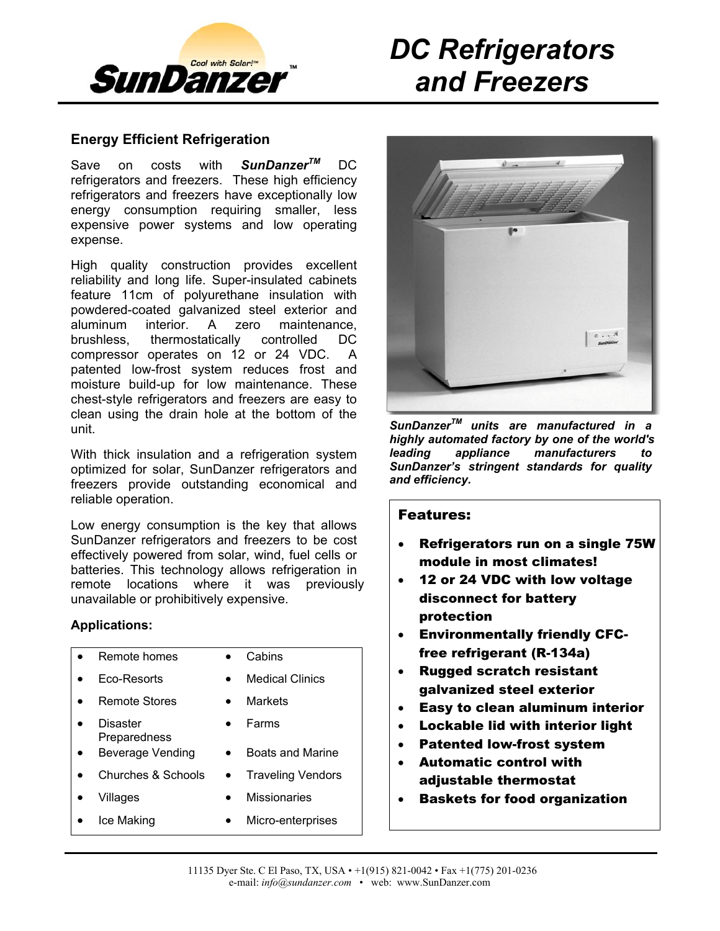

# *DC Refrigerators and Freezers*

### **Energy Efficient Refrigeration**

Save on costs with **SunDanzer**™ DC refrigerators and freezers. These high efficiency refrigerators and freezers have exceptionally low energy consumption requiring smaller, less expensive power systems and low operating expense.

High quality construction provides excellent reliability and long life. Super-insulated cabinets feature 11cm of polyurethane insulation with powdered-coated galvanized steel exterior and aluminum interior. A zero maintenance, brushless, thermostatically controlled DC compressor operates on 12 or 24 VDC. A patented low-frost system reduces frost and moisture build-up for low maintenance. These chest-style refrigerators and freezers are easy to clean using the drain hole at the bottom of the unit.

With thick insulation and a refrigeration system optimized for solar, SunDanzer refrigerators and freezers provide outstanding economical and reliable operation.

Low energy consumption is the key that allows SunDanzer refrigerators and freezers to be cost effectively powered from solar, wind, fuel cells or batteries. This technology allows refrigeration in remote locations where it was previously unavailable or prohibitively expensive.

#### **Applications:**

| Remote homes             | Cabins                   |
|--------------------------|--------------------------|
| Eco-Resorts              | <b>Medical Clinics</b>   |
| Remote Stores            | Markets                  |
| Disaster<br>Preparedness | Farms                    |
| <b>Beverage Vending</b>  | <b>Boats and Marine</b>  |
| Churches & Schools       | <b>Traveling Vendors</b> |
| Villages                 | <b>Missionaries</b>      |
| Ice Making               | Micro-enterprises        |



*SunDanzerTM units are manufactured in a highly automated factory by one of the world's leading appliance manufacturers to SunDanzer's stringent standards for quality and efficiency.*

### Features:

- Refrigerators run on a single 75W module in most climates!
- 12 or 24 VDC with low voltage disconnect for battery protection
- Environmentally friendly CFCfree refrigerant (R-134a)
- Rugged scratch resistant galvanized steel exterior
- Easy to clean aluminum interior
- Lockable lid with interior light
- Patented low-frost system
- Automatic control with adjustable thermostat
- Baskets for food organization